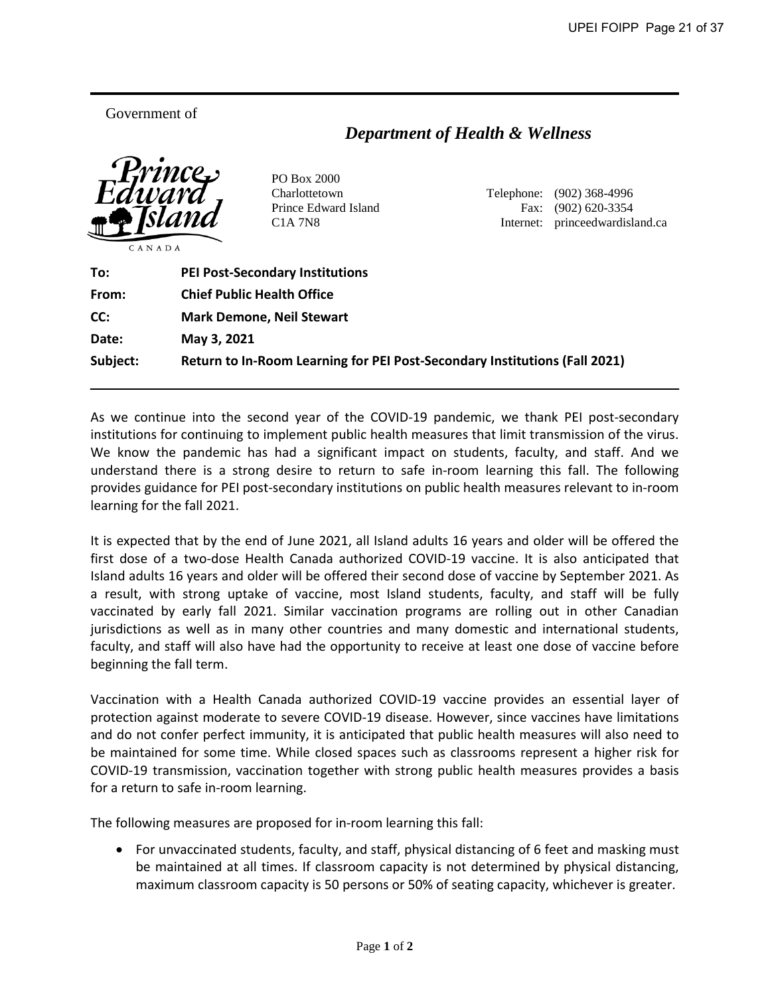Government of

**MEMORANDUM**

## *Department of Health & Wellness*



PO Box 2000

Charlottetown Telephone: (902) 368-4996 Prince Edward Island Fax: (902) 620-3354 C1A 7N8 Internet: princeedwardisland.ca

| To:      | <b>PEI Post-Secondary Institutions</b>                                     |
|----------|----------------------------------------------------------------------------|
| From:    | <b>Chief Public Health Office</b>                                          |
| CC:      | <b>Mark Demone, Neil Stewart</b>                                           |
| Date:    | May 3, 2021                                                                |
| Subject: | Return to In-Room Learning for PEI Post-Secondary Institutions (Fall 2021) |

As we continue into the second year of the COVID-19 pandemic, we thank PEI post-secondary institutions for continuing to implement public health measures that limit transmission of the virus. We know the pandemic has had a significant impact on students, faculty, and staff. And we understand there is a strong desire to return to safe in-room learning this fall. The following provides guidance for PEI post-secondary institutions on public health measures relevant to in-room learning for the fall 2021.

It is expected that by the end of June 2021, all Island adults 16 years and older will be offered the first dose of a two-dose Health Canada authorized COVID-19 vaccine. It is also anticipated that Island adults 16 years and older will be offered their second dose of vaccine by September 2021. As a result, with strong uptake of vaccine, most Island students, faculty, and staff will be fully vaccinated by early fall 2021. Similar vaccination programs are rolling out in other Canadian jurisdictions as well as in many other countries and many domestic and international students, faculty, and staff will also have had the opportunity to receive at least one dose of vaccine before beginning the fall term.

Vaccination with a Health Canada authorized COVID-19 vaccine provides an essential layer of protection against moderate to severe COVID-19 disease. However, since vaccines have limitations and do not confer perfect immunity, it is anticipated that public health measures will also need to be maintained for some time. While closed spaces such as classrooms represent a higher risk for COVID-19 transmission, vaccination together with strong public health measures provides a basis for a return to safe in-room learning.

The following measures are proposed for in-room learning this fall:

• For unvaccinated students, faculty, and staff, physical distancing of 6 feet and masking must be maintained at all times. If classroom capacity is not determined by physical distancing, maximum classroom capacity is 50 persons or 50% of seating capacity, whichever is greater.